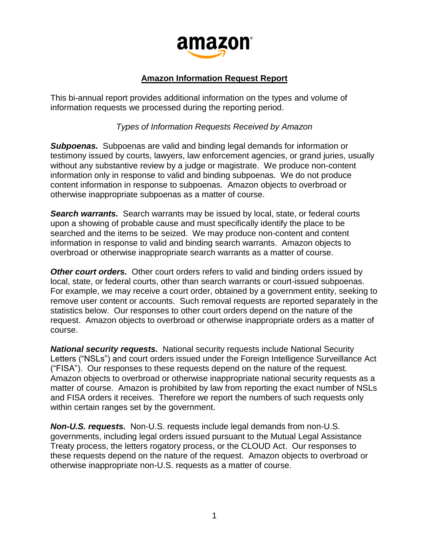

## **Amazon Information Request Report**

This bi-annual report provides additional information on the types and volume of information requests we processed during the reporting period.

*Types of Information Requests Received by Amazon*

*Subpoenas.* Subpoenas are valid and binding legal demands for information or testimony issued by courts, lawyers, law enforcement agencies, or grand juries, usually without any substantive review by a judge or magistrate. We produce non-content information only in response to valid and binding subpoenas. We do not produce content information in response to subpoenas. Amazon objects to overbroad or otherwise inappropriate subpoenas as a matter of course.

*Search warrants.* Search warrants may be issued by local, state, or federal courts upon a showing of probable cause and must specifically identify the place to be searched and the items to be seized. We may produce non-content and content information in response to valid and binding search warrants. Amazon objects to overbroad or otherwise inappropriate search warrants as a matter of course.

*Other court orders.* Other court orders refers to valid and binding orders issued by local, state, or federal courts, other than search warrants or court-issued subpoenas. For example, we may receive a court order, obtained by a government entity, seeking to remove user content or accounts. Such removal requests are reported separately in the statistics below. Our responses to other court orders depend on the nature of the request. Amazon objects to overbroad or otherwise inappropriate orders as a matter of course.

*National security requests.* National security requests include National Security Letters ("NSLs") and court orders issued under the Foreign Intelligence Surveillance Act ("FISA"). Our responses to these requests depend on the nature of the request. Amazon objects to overbroad or otherwise inappropriate national security requests as a matter of course. Amazon is prohibited by law from reporting the exact number of NSLs and FISA orders it receives. Therefore we report the numbers of such requests only within certain ranges set by the government.

*Non-U.S. requests.* Non-U.S. requests include legal demands from non-U.S. governments, including legal orders issued pursuant to the Mutual Legal Assistance Treaty process, the letters rogatory process, or the CLOUD Act. Our responses to these requests depend on the nature of the request. Amazon objects to overbroad or otherwise inappropriate non-U.S. requests as a matter of course.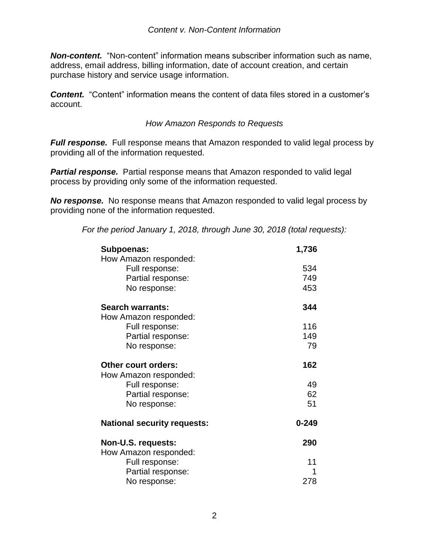*Non-content.* "Non-content" information means subscriber information such as name, address, email address, billing information, date of account creation, and certain purchase history and service usage information.

*Content.* "Content" information means the content of data files stored in a customer's account.

## *How Amazon Responds to Requests*

*Full response.* Full response means that Amazon responded to valid legal process by providing all of the information requested.

**Partial response.** Partial response means that Amazon responded to valid legal process by providing only some of the information requested.

*No response.* No response means that Amazon responded to valid legal process by providing none of the information requested.

*For the period January 1, 2018, through June 30, 2018 (total requests):*

| Subpoenas:                         | 1,736     |
|------------------------------------|-----------|
| How Amazon responded:              |           |
| Full response:                     | 534       |
| Partial response:                  | 749       |
| No response:                       | 453       |
| <b>Search warrants:</b>            | 344       |
| How Amazon responded:              |           |
| Full response:                     | 116       |
| Partial response:                  | 149       |
| No response:                       | 79        |
| <b>Other court orders:</b>         | 162       |
| How Amazon responded:              |           |
| Full response:                     | 49        |
| Partial response:                  | 62        |
| No response:                       | 51        |
| <b>National security requests:</b> | $0 - 249$ |
| Non-U.S. requests:                 | 290       |
| How Amazon responded:              |           |
| Full response:                     | 11        |
| Partial response:                  |           |
| No response:                       | 278       |